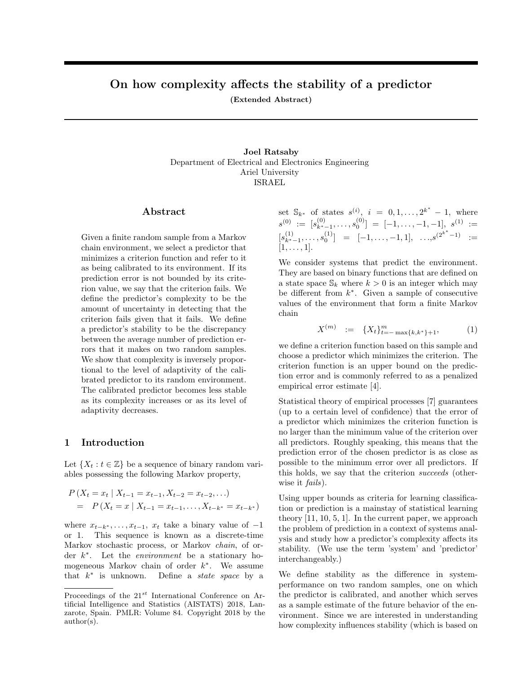# On how complexity affects the stability of a predictor

(Extended Abstract)

Joel Ratsaby Department of Electrical and Electronics Engineering Ariel University ISRAEL

#### Abstract

Given a finite random sample from a Markov chain environment, we select a predictor that minimizes a criterion function and refer to it as being calibrated to its environment. If its prediction error is not bounded by its criterion value, we say that the criterion fails. We define the predictor's complexity to be the amount of uncertainty in detecting that the criterion fails given that it fails. We define a predictor's stability to be the discrepancy between the average number of prediction errors that it makes on two random samples. We show that complexity is inversely proportional to the level of adaptivity of the calibrated predictor to its random environment. The calibrated predictor becomes less stable as its complexity increases or as its level of adaptivity decreases.

## 1 Introduction

Let  $\{X_t : t \in \mathbb{Z}\}\$  be a sequence of binary random variables possessing the following Markov property,

$$
P(X_t = x_t | X_{t-1} = x_{t-1}, X_{t-2} = x_{t-2}, ...)
$$
  
= 
$$
P(X_t = x | X_{t-1} = x_{t-1}, ..., X_{t-k^*} = x_{t-k^*})
$$

where  $x_{t-k^*}, \ldots, x_{t-1}, x_t$  take a binary value of  $-1$ or 1. This sequence is known as a discrete-time Markov stochastic process, or Markov *chain*, of order  $k^*$ . Let the *environment* be a stationary homogeneous Markov chain of order  $k^*$ . We assume that  $k^*$  is unknown. Define a *state space* by a

set  $\mathbb{S}_{k^*}$  of states  $s^{(i)}$ ,  $i = 0, 1, ..., 2^{k^*}$  $-1$ , where  $s^{(0)} := [s^{(0)}_{k^*-1}, \ldots, s^{(0)}_0] = [-1, \ldots, -1, -1], s^{(1)} :=$  $[s^{(1)}_{k^*-1},...,s^{(1)}_0] = [-1,...,-1,1], ..., s^{(2^{k^*}-1)} :=$ [1*,...,* 1].

We consider systems that predict the environment. They are based on binary functions that are defined on a state space  $\mathbb{S}_k$  where  $k > 0$  is an integer which may be different from  $k^*$ . Given a sample of consecutive values of the environment that form a finite Markov chain

$$
X^{(m)} := \{X_t\}_{t=-\max\{k,k^*\}+1}^m,\tag{1}
$$

we define a criterion function based on this sample and choose a predictor which minimizes the criterion. The criterion function is an upper bound on the prediction error and is commonly referred to as a penalized empirical error estimate [4].

Statistical theory of empirical processes [7] guarantees (up to a certain level of confidence) that the error of a predictor which minimizes the criterion function is no larger than the minimum value of the criterion over all predictors. Roughly speaking, this means that the prediction error of the chosen predictor is as close as possible to the minimum error over all predictors. If this holds, we say that the criterion *succeeds* (otherwise it *fails*).

Using upper bounds as criteria for learning classification or prediction is a mainstay of statistical learning theory [11, 10, 5, 1]. In the current paper, we approach the problem of prediction in a context of systems analysis and study how a predictor's complexity affects its stability. (We use the term 'system' and 'predictor' interchangeably.)

We define stability as the difference in systemperformance on two random samples, one on which the predictor is calibrated, and another which serves as a sample estimate of the future behavior of the environment. Since we are interested in understanding how complexity influences stability (which is based on

Proceedings of the 21*st* International Conference on Artificial Intelligence and Statistics (AISTATS) 2018, Lanzarote, Spain. PMLR: Volume 84. Copyright 2018 by the author(s).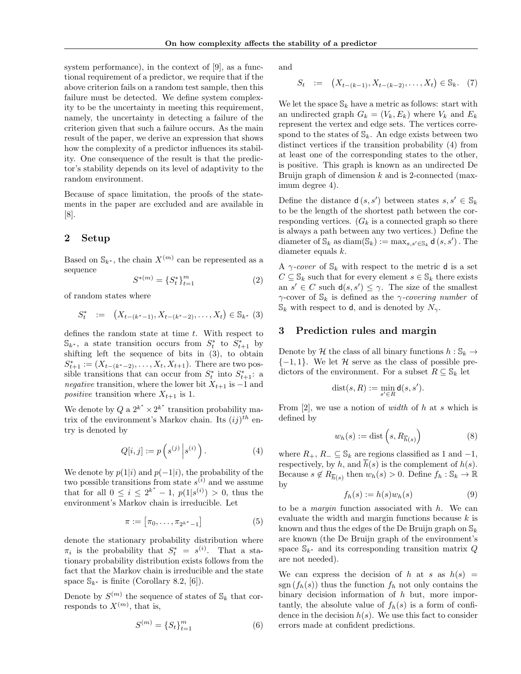system performance), in the context of [9], as a functional requirement of a predictor, we require that if the above criterion fails on a random test sample, then this failure must be detected. We define system complexity to be the uncertainty in meeting this requirement, namely, the uncertainty in detecting a failure of the criterion given that such a failure occurs. As the main result of the paper, we derive an expression that shows how the complexity of a predictor influences its stability. One consequence of the result is that the predictor's stability depends on its level of adaptivity to the random environment.

Because of space limitation, the proofs of the statements in the paper are excluded and are available in [8].

# 2 Setup

Based on  $\mathbb{S}_{k^*}$ , the chain  $X^{(m)}$  can be represented as a sequence

$$
S^{*(m)} = \{S_t^*\}_{t=1}^m \tag{2}
$$

of random states where

$$
S_t^* := (X_{t-(k^*-1)}, X_{t-(k^*-2)}, \dots, X_t) \in \mathbb{S}_{k^*} (3)
$$

defines the random state at time *t*. With respect to  $\mathbb{S}_{k^*}$ , a state transition occurs from  $S_t^*$  to  $S_{t+1}^*$  by shifting left the sequence of bits in (3), to obtain  $S_{t+1}^* := (X_{t-(k^*-2)}, \ldots, X_t, X_{t+1})$ . There are two possible transitions that can occur from  $S_t^*$  into  $S_{t+1}^*$ : a *negative* transition, where the lower bit  $X_{t+1}$  is  $-1$  and *positive* transition where  $X_{t+1}$  is 1.

We denote by  $Q$  a  $2^{k^*} \times 2^{k^*}$  transition probability matrix of the environment's Markov chain. Its  $(ij)^{th}$  entry is denoted by

$$
Q[i,j] := p\left(s^{(j)}\left|s^{(i)}\right.\right). \tag{4}
$$

We denote by  $p(1|i)$  and  $p(-1|i)$ , the probability of the two possible transitions from state  $s^{(i)}$  and we assume that for all  $0 \leq i \leq 2^{k^*} - 1$ ,  $p(1|s^{(i)}) > 0$ , thus the environment's Markov chain is irreducible. Let

$$
\pi := [\pi_0, \dots, \pi_{2^{k^*}-1}]
$$
 (5)

denote the stationary probability distribution where  $\pi_i$  is the probability that  $S_t^* = s^{(i)}$ . That a stationary probability distribution exists follows from the fact that the Markov chain is irreducible and the state space  $\mathbb{S}_{k^*}$  is finite (Corollary 8.2, [6]).

Denote by  $S^{(m)}$  the sequence of states of  $\mathbb{S}_k$  that corresponds to  $X^{(m)}$ , that is,

$$
S^{(m)} = \{S_t\}_{t=1}^m \tag{6}
$$

and

$$
S_t := (X_{t-(k-1)}, X_{t-(k-2)}, \dots, X_t) \in \mathbb{S}_k. (7)
$$

We let the space  $\mathbb{S}_k$  have a metric as follows: start with an undirected graph  $G_k = (V_k, E_k)$  where  $V_k$  and  $E_k$ represent the vertex and edge sets. The vertices correspond to the states of  $\mathbb{S}_k$ . An edge exists between two distinct vertices if the transition probability (4) from at least one of the corresponding states to the other, is positive. This graph is known as an undirected De Bruijn graph of dimension *k* and is 2-connected (maximum degree 4).

Define the distance  $d(s, s')$  between states  $s, s' \in S_k$ to be the length of the shortest path between the corresponding vertices.  $(G_k$  is a connected graph so there is always a path between any two vertices.) Define the diameter of  $\mathbb{S}_k$  as diam $(\mathbb{S}_k) := \max_{s,s' \in \mathbb{S}_k} \mathsf{d}(s,s')$ . The diameter equals *k*.

A  $\gamma$ -cover of  $\mathbb{S}_k$  with respect to the metric **d** is a set  $C \subseteq \mathbb{S}_k$  such that for every element  $s \in \mathbb{S}_k$  there exists an  $s' \in C$  such  $d(s, s') \leq \gamma$ . The size of the smallest  $\gamma$ -cover of  $\mathbb{S}_k$  is defined as the  $\gamma$ -covering number of  $\mathbb{S}_k$  with respect to **d**, and is denoted by  $N_\gamma$ .

#### 3 Prediction rules and margin

Denote by  $\mathcal H$  the class of all binary functions  $h: \mathbb S_k \to$  $\{-1, 1\}$ . We let  $\mathcal H$  serve as the class of possible predictors of the environment. For a subset  $R \subseteq \mathbb{S}_k$  let

$$
dist(s, R) := \min_{s' \in R} \mathsf{d}(s, s').
$$

From [2], we use a notion of *width* of *h* at *s* which is defined by

$$
w_h(s) := \text{dist}\left(s, R_{\overline{h}(s)}\right) \tag{8}
$$

where  $R_+$ ,  $R_- \subseteq \mathbb{S}_k$  are regions classified as 1 and  $-1$ , respectively, by h, and  $\overline{h}(s)$  is the complement of  $h(s)$ . Because  $s \notin R_{\overline{h}(s)}$  then  $w_h(s) > 0$ . Define  $f_h: \mathbb{S}_k \to \mathbb{R}$ by

$$
f_h(s) := h(s)w_h(s)
$$
\n<sup>(9)</sup>

to be a *margin* function associated with *h*. We can evaluate the width and margin functions because *k* is known and thus the edges of the De Bruijn graph on S*<sup>k</sup>* are known (the De Bruijn graph of the environment's space  $\mathbb{S}_{k^*}$  and its corresponding transition matrix *Q* are not needed).

We can express the decision of *h* at *s* as  $h(s)$  = sgn  $(f_h(s))$  thus the function  $f_h$  not only contains the binary decision information of *h* but, more importantly, the absolute value of  $f_h(s)$  is a form of confidence in the decision *h*(*s*). We use this fact to consider errors made at confident predictions.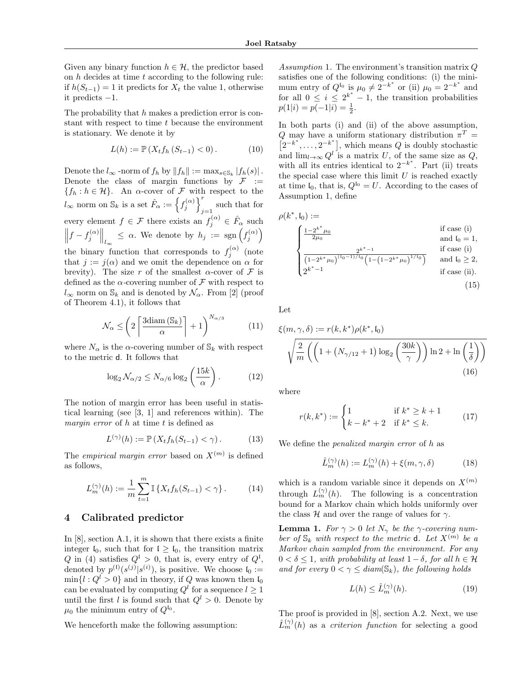Given any binary function  $h \in \mathcal{H}$ , the predictor based on *h* decides at time *t* according to the following rule: if  $h(S_{t-1}) = 1$  it predicts for  $X_t$  the value 1, otherwise it predicts  $-1$ .

The probability that *h* makes a prediction error is constant with respect to time *t* because the environment is stationary. We denote it by

$$
L(h) := \mathbb{P}\left(X_t f_h\left(S_{t-1}\right) < 0\right). \tag{10}
$$

Denote the  $l_{\infty}$  -norm of  $f_h$  by  $||f_h|| := \max_{s \in \mathbb{S}_k} |f_h(s)|$ . Denote the class of margin functions by  $\mathcal{F}$  :=  ${f_h : h \in \mathcal{H}}$ . An  $\alpha$ -cover of *F* with respect to the  $l_{\infty}$  norm on  $\mathbb{S}_k$  is a set  $\hat{F}_{\alpha} := \left\{ f_j^{(\alpha)} \right\}_{j=1}^r$ such that for every element  $f \in \mathcal{F}$  there exists an  $f_j^{(\alpha)} \in \hat{F}_\alpha$  such  $\left\| f - f_j^{(\alpha)} \right\|$  $\left\| \right\|_{l_{\infty}} \leq \alpha$ . We denote by  $h_j := \text{sgn} \left( f_j^{(\alpha)} \right)$ the binary function that corresponds to  $f_j^{(\alpha)}$  (note that  $j := j(\alpha)$  and we omit the dependence on  $\alpha$  for brevity). The size r of the smallest  $\alpha$ -cover of F is defined as the  $\alpha$ -covering number of  $\mathcal F$  with respect to  $l_{\infty}$  norm on  $\mathbb{S}_k$  and is denoted by  $\mathcal{N}_{\alpha}$ . From [2] (proof of Theorem 4.1), it follows that

$$
\mathcal{N}_{\alpha} \le \left( 2 \left\lceil \frac{3 \text{diam} \left( \mathbb{S}_k \right)}{\alpha} \right\rceil + 1 \right)^{N_{\alpha/3}} \tag{11}
$$

where  $N_{\alpha}$  is the  $\alpha$ -covering number of  $\mathcal{S}_k$  with respect to the metric d. It follows that

$$
\log_2 \mathcal{N}_{\alpha/2} \le N_{\alpha/6} \log_2 \left(\frac{15k}{\alpha}\right). \tag{12}
$$

The notion of margin error has been useful in statistical learning (see [3, 1] and references within). The *margin error* of *h* at time *t* is defined as

$$
L^{(\gamma)}(h) := \mathbb{P}\left(X_t f_h(S_{t-1}) < \gamma\right). \tag{13}
$$

The *empirical margin error* based on  $X^{(m)}$  is defined as follows,

$$
L_m^{(\gamma)}(h) := \frac{1}{m} \sum_{t=1}^m \mathbb{I} \left\{ X_t f_h(S_{t-1}) < \gamma \right\} . \tag{14}
$$

## 4 Calibrated predictor

In [8], section A.1, it is shown that there exists a finite integer  $I_0$ , such that for  $I \geq I_0$ , the transition matrix *Q* in (4) satisfies  $Q^{\mathfrak{l}} > 0$ , that is, every entry of  $Q^{\mathfrak{l}}$ , denoted by  $p^{(1)}(s^{(j)}|s^{(i)})$ , is positive. We choose  $\mathfrak{l}_0 :=$  $\min\{l : Q^l > 0\}$  and in theory, if *Q* was known then  $I_0$ can be evaluated by computing  $Q^l$  for a sequence  $l \geq 1$ until the first *l* is found such that  $Q^l > 0$ . Denote by  $\mu_0$  the minimum entry of  $Q^{I_0}$ .

We henceforth make the following assumption:

*Assumption* 1*.* The environment's transition matrix *Q* satisfies one of the following conditions: (i) the minimum entry of  $Q^{I_0}$  is  $\mu_0 \neq 2^{-k^*}$  or (ii)  $\mu_0 = 2^{-k^*}$  and for all  $0 \leq i \leq 2^{k^*}-1$ , the transition probabilities  $p(1|i) = p(-1|i) = \frac{1}{2}.$ 

In both parts (i) and (ii) of the above assumption, *Q* may have a uniform stationary distribution  $\pi^T$  =  $\left[2^{-k^*},\ldots,2^{-k^*}\right]$ , which means  $Q$  is doubly stochastic and  $\lim_{l\to\infty} Q^l$  is a matrix *U*, of the same size as *Q*, with all its entries identical to  $2^{-k^*}$ . Part (ii) treats the special case where this limit  $U$  is reached exactly at time  $I_0$ , that is,  $Q^{I_0} = U$ . According to the cases of Assumption 1, define

$$
\rho(k^*, \mathfrak{l}_0) := \n\begin{cases}\n\frac{1 - 2^{k^*} \mu_0}{2\mu_0} & \text{if case (i)} \\
\frac{2^k}{2} \frac{2^{k^* - 1}}{(1 - 2^{k^*} \mu_0)^{(t_0 - 1)/t_0} \left(1 - (1 - 2^{k^*} \mu_0)^{1/t_0}\right)} & \text{if case (i)} \\
2^{k^* - 1} & \text{if case (ii)} \\
2^{k^* - 1} & \text{if case (ii)}\n\end{cases}
$$
\n(15)

Let

$$
\xi(m,\gamma,\delta) := r(k,k^*)\rho(k^*,\mathfrak{l}_0)
$$

$$
\sqrt{\frac{2}{m}\left(\left(1+(N_{\gamma/12}+1)\log_2\left(\frac{30k}{\gamma}\right)\right)\ln 2 + \ln\left(\frac{1}{\delta}\right)\right)}
$$
(16)

where

$$
r(k, k^*) := \begin{cases} 1 & \text{if } k^* \ge k+1 \\ k - k^* + 2 & \text{if } k^* \le k. \end{cases}
$$
 (17)

We define the *penalized margin error* of *h* as

$$
\hat{L}_m^{(\gamma)}(h) := L_m^{(\gamma)}(h) + \xi(m, \gamma, \delta)
$$
\n(18)

which is a random variable since it depends on  $X^{(m)}$ through  $L_m^{(\gamma)}(h)$ . The following is a concentration bound for a Markov chain which holds uniformly over the class  $H$  and over the range of values for  $\gamma$ .

**Lemma 1.** *For*  $\gamma > 0$  *let*  $N_{\gamma}$  *be the*  $\gamma$ -covering num*ber of*  $\mathbb{S}_k$  *with respect to the metric* **d***. Let*  $X^{(m)}$  *be a Markov chain sampled from the environment. For any*  $0 < \delta < 1$ , with probability at least  $1 - \delta$ , for all  $h \in \mathcal{H}$ *and for every*  $0 < \gamma \leq diam(\mathbb{S}_k)$ *, the following holds* 

$$
L(h) \le \hat{L}_m^{(\gamma)}(h). \tag{19}
$$

The proof is provided in [8], section A.2. Next, we use  $\hat{L}_m^{(\gamma)}(h)$  as a *criterion function* for selecting a good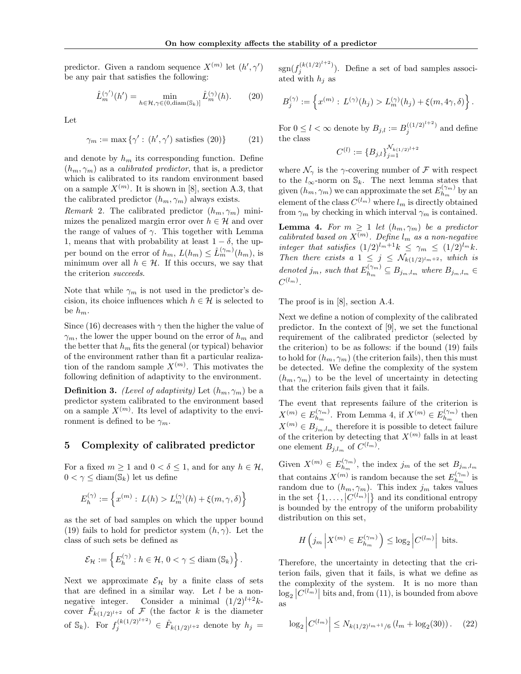predictor. Given a random sequence  $X^{(m)}$  let  $(h', \gamma')$ be any pair that satisfies the following:

$$
\hat{L}_m^{(\gamma')}(h') = \min_{h \in \mathcal{H}, \gamma \in (0, \text{diam}(\mathbb{S}_k))} \hat{L}_m^{(\gamma)}(h). \tag{20}
$$

Let

$$
\gamma_m := \max \{ \gamma' : (h', \gamma') \text{ satisfies (20)} \}
$$
 (21)

and denote by  $h_m$  its corresponding function. Define  $(h_m, \gamma_m)$  as a *calibrated predictor*, that is, a predictor which is calibrated to its random environment based on a sample  $X^{(m)}$ . It is shown in [8], section A.3, that the calibrated predictor  $(h_m, \gamma_m)$  always exists.

*Remark* 2. The calibrated predictor  $(h_m, \gamma_m)$  minimizes the penalized margin error over  $h \in \mathcal{H}$  and over the range of values of  $\gamma$ . This together with Lemma 1, means that with probability at least  $1 - \delta$ , the upper bound on the error of  $h_m$ ,  $L(h_m) \leq \hat{L}_m^{(\gamma_m)}(h_m)$ , is minimum over all  $h \in \mathcal{H}$ . If this occurs, we say that the criterion *succeeds*.

Note that while  $\gamma_m$  is not used in the predictor's decision, its choice influences which  $h \in \mathcal{H}$  is selected to be  $h_m$ .

Since (16) decreases with  $\gamma$  then the higher the value of  $\gamma_m$ , the lower the upper bound on the error of  $h_m$  and the better that  $h_m$  fits the general (or typical) behavior of the environment rather than fit a particular realization of the random sample  $X^{(m)}$ . This motivates the following definition of adaptivity to the environment.

**Definition 3.** *(Level of adaptivity)* Let  $(h_m, \gamma_m)$  be a predictor system calibrated to the environment based on a sample  $X^{(m)}$ . Its level of adaptivity to the environment is defined to be  $\gamma_m$ .

## 5 Complexity of calibrated predictor

For a fixed  $m \geq 1$  and  $0 < \delta \leq 1$ , and for any  $h \in \mathcal{H}$ ,  $0 < \gamma \leq \text{diam}(\mathbb{S}_k)$  let us define

$$
E_h^{(\gamma)}:=\left\{x^{(m)}: \, L(h)>L_m^{(\gamma)}(h)+\xi(m,\gamma,\delta)\right\}
$$

as the set of bad samples on which the upper bound (19) fails to hold for predictor system  $(h, \gamma)$ . Let the class of such sets be defined as

$$
\mathcal{E}_{\mathcal{H}} := \left\{ E_{h}^{(\gamma)} : h \in \mathcal{H}, 0 < \gamma \leq \operatorname{diam}(\mathbb{S}_{k}) \right\}.
$$

Next we approximate  $\mathcal{E}_H$  by a finite class of sets that are defined in a similar way. Let *l* be a nonnegative integer. Consider a minimal  $(1/2)^{l+2}k$ cover  $\hat{F}_{k(1/2)^{l+2}}$  of  $\mathcal F$  (the factor  $k$  is the diameter of  $\mathbb{S}_k$ ). For  $f_j^{(k(1/2)^{l+2})} \in \hat{F}_{k(1/2)^{l+2}}$  denote by  $h_j =$ 

 $sgn(f_j^{(k(1/2)^{l+2})})$ . Define a set of bad samples associated with  $h_i$  as

$$
B_j^{(\gamma)} := \left\{ x^{(m)} : L^{(\gamma)}(h_j) > L_m^{(\gamma)}(h_j) + \xi(m, 4\gamma, \delta) \right\}.
$$

For  $0 \leq l < \infty$  denote by  $B_{j,l} := B_j^{((1/2)^{l+2})}$  and define the class

$$
C^{(l)} := \{B_{j,l}\}_{j=1}^{\mathcal{N}_{k(1/2)^{l+2}}}
$$

where  $\mathcal{N}_{\gamma}$  is the  $\gamma$ -covering number of  $\mathcal F$  with respect to the  $l_{\infty}$ -norm on  $\mathbb{S}_k$ . The next lemma states that given  $(h_m, \gamma_m)$  we can approximate the set  $E_{h_m}^{(\gamma_m)}$  by an element of the class  $C^{(l_m)}$  where  $l_m$  is directly obtained from  $\gamma_m$  by checking in which interval  $\gamma_m$  is contained.

**Lemma 4.** For  $m \geq 1$  let  $(h_m, \gamma_m)$  be a predictor *calibrated based on*  $X^{(m)}$ *. Define*  $l_m$  *as a non-negative integer that satisfies*  $(1/2)^{l_m+1}k \leq \gamma_m \leq (1/2)^{l_m}k$ . *Then there exists a*  $1 \leq j \leq \mathcal{N}_{k(1/2)^{l_m+2}}$ *, which is denoted j<sub>m</sub>*, *such that*  $E_{h_m}^{(\gamma_m)} \subseteq B_{j_m,l_m}$  *where*  $B_{j_m,l_m} \in$  $C^{(l_m)}$ .

The proof is in [8], section A.4.

Next we define a notion of complexity of the calibrated predictor. In the context of [9], we set the functional requirement of the calibrated predictor (selected by the criterion) to be as follows: if the bound (19) fails to hold for  $(h_m, \gamma_m)$  (the criterion fails), then this must be detected. We define the complexity of the system  $(h_m, \gamma_m)$  to be the level of uncertainty in detecting that the criterion fails given that it fails.

The event that represents failure of the criterion is  $X^{(m)} \in E_{h_m}^{(\gamma_m)}$ . From Lemma 4, if  $X^{(m)} \in E_{h_m}^{(\gamma_m)}$  then  $X^{(m)} \in B_{j_m, l_m}$  therefore it is possible to detect failure of the criterion by detecting that  $X^{(m)}$  falls in at least one element  $B_{j,l_m}$  of  $C^{(l_m)}$ .

Given  $X^{(m)} \in E_{h_m}^{(\gamma_m)}$ , the index  $j_m$  of the set  $B_{j_m,l_m}$ that contains  $X^{(m)}$  is random because the set  $E_{h_m}^{(\gamma_m)}$  is random due to  $(h_m, \gamma_m)$ . This index  $j_m$  takes values in the set  $\{1, \ldots, |C^{(l_m)}|\}$  and its conditional entropy is bounded by the entropy of the uniform probability distribution on this set,

$$
H\left(j_m \left| X^{(m)} \in E_{h_m}^{(\gamma_m)} \right.\right) \le \log_2 \left| C^{(l_m)} \right| \text{ bits.}
$$

Therefore, the uncertainty in detecting that the criterion fails, given that it fails, is what we define as the complexity of the system. It is no more than  $\log_2|C^{(l_m)}|$  bits and, from (11), is bounded from above as

$$
\log_2 \left| C^{(l_m)} \right| \le N_{k(1/2)^{l_m+1}/6} \left( l_m + \log_2(30) \right). \tag{22}
$$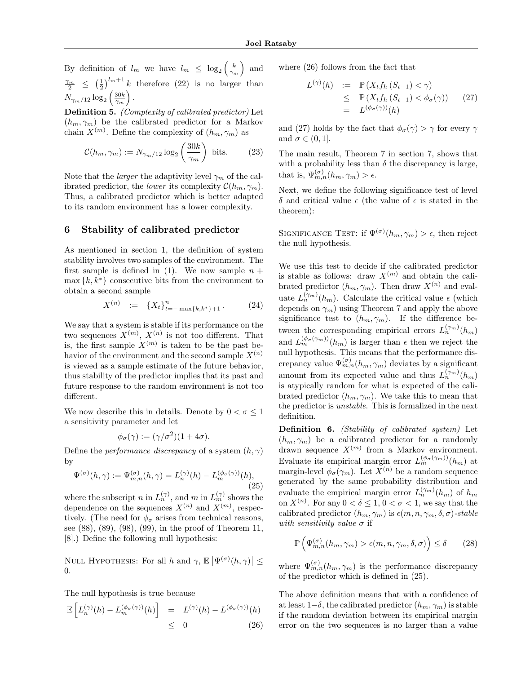By definition of  $l_m$  we have  $l_m \leq \log_2 \left( \frac{k}{\gamma_m} \right)$ ) and  $\frac{\gamma_m}{2} \leq (\frac{1}{2})^{l_m+1} k$  therefore (22) is no larger than  $N_{\gamma_m/12}\log_2\left(\frac{30k}{\gamma_m}\right)$ ⌘ *.*

Definition 5. *(Complexity of calibrated predictor)* Let  $(h_m, \gamma_m)$  be the calibrated predictor for a Markov chain  $X^{(m)}$ . Define the complexity of  $(h_m, \gamma_m)$  as

$$
\mathcal{C}(h_m, \gamma_m) := N_{\gamma_m/12} \log_2 \left(\frac{30k}{\gamma_m}\right) \text{ bits.} \tag{23}
$$

Note that the *larger* the adaptivity level  $\gamma_m$  of the calibrated predictor, the *lower* its complexity  $C(h_m, \gamma_m)$ . Thus, a calibrated predictor which is better adapted to its random environment has a lower complexity.

## 6 Stability of calibrated predictor

As mentioned in section 1, the definition of system stability involves two samples of the environment. The first sample is defined in  $(1)$ . We now sample  $n +$  $\max\{k, k^*\}$  consecutive bits from the environment to obtain a second sample

$$
X^{(n)} := \{X_t\}_{t=-\max\{k,k^*\}+1}^n.
$$
 (24)

We say that a system is stable if its performance on the two sequences  $X^{(m)}$ ,  $X^{(n)}$  is not too different. That is, the first sample  $X^{(m)}$  is taken to be the past behavior of the environment and the second sample  $X^{(n)}$ is viewed as a sample estimate of the future behavior, thus stability of the predictor implies that its past and future response to the random environment is not too different.

We now describe this in details. Denote by  $0 < \sigma \leq 1$ a sensitivity parameter and let

$$
\phi_{\sigma}(\gamma) := (\gamma/\sigma^2)(1+4\sigma).
$$

Define the *performance* discrepancy of a system  $(h, \gamma)$ by

$$
\Psi^{(\sigma)}(h,\gamma) := \Psi_{m,n}^{(\sigma)}(h,\gamma) = L_n^{(\gamma)}(h) - L_m^{(\phi_{\sigma}(\gamma))}(h),\tag{25}
$$

where the subscript *n* in  $L_n^{(\gamma)}$ , and *m* in  $L_m^{(\gamma)}$  shows the dependence on the sequences  $X^{(n)}$  and  $X^{(m)}$ , respectively. (The need for  $\phi_{\sigma}$  arises from technical reasons, see (88), (89), (98), (99), in the proof of Theorem 11, [8].) Define the following null hypothesis:

NULL HYPOTHESIS: For all *h* and  $\gamma$ ,  $\mathbb{E}\left[\Psi^{(\sigma)}(h,\gamma)\right] \leq$ 0.

The null hypothesis is true because

$$
\mathbb{E}\left[L_n^{(\gamma)}(h) - L_m^{(\phi_\sigma(\gamma))}(h)\right] = L^{(\gamma)}(h) - L^{(\phi_\sigma(\gamma))}(h) \leq 0 \tag{26}
$$

where (26) follows from the fact that

$$
L^{(\gamma)}(h) := \mathbb{P}\left(X_t f_h \left(S_{t-1}\right) < \gamma\right)
$$
\n
$$
\leq \mathbb{P}\left(X_t f_h \left(S_{t-1}\right) < \phi_\sigma(\gamma)\right) \tag{27}
$$
\n
$$
= L^{(\phi_\sigma(\gamma))}(h)
$$

and (27) holds by the fact that  $\phi_{\sigma}(\gamma) > \gamma$  for every  $\gamma$ and  $\sigma \in (0, 1]$ .

The main result, Theorem 7 in section 7, shows that with a probability less than  $\delta$  the discrepancy is large, that is,  $\Psi_{m,n}^{(\sigma)}(h_m, \gamma_m) > \epsilon$ .

Next, we define the following significance test of level  $\delta$  and critical value  $\epsilon$  (the value of  $\epsilon$  is stated in the theorem):

SIGNIFICANCE TEST: if  $\Psi^{(\sigma)}(h_m, \gamma_m) > \epsilon$ , then reject the null hypothesis.

We use this test to decide if the calibrated predictor is stable as follows: draw  $X^{(m)}$  and obtain the calibrated predictor  $(h_m, \gamma_m)$ . Then draw  $X^{(n)}$  and evaluate  $L_n^{(\gamma_m)}(h_m)$ . Calculate the critical value  $\epsilon$  (which depends on  $\gamma_m$ ) using Theorem 7 and apply the above significance test to  $(h_m, \gamma_m)$ . If the difference between the corresponding empirical errors  $L_n^{(\gamma_m)}(h_m)$ and  $L_m^{(\phi_{\sigma}(\gamma_m))}(h_m)$  is larger than  $\epsilon$  then we reject the null hypothesis. This means that the performance discrepancy value  $\Psi_{m,n}^{(\sigma)}(h_m,\gamma_m)$  deviates by a significant amount from its expected value and thus  $L_n^{(\gamma_m)}(h_m)$ is atypically random for what is expected of the calibrated predictor  $(h_m, \gamma_m)$ . We take this to mean that the predictor is *unstable*. This is formalized in the next definition.

Definition 6. *(Stability of calibrated system)* Let  $(h_m, \gamma_m)$  be a calibrated predictor for a randomly drawn sequence  $X^{(m)}$  from a Markov environment. Evaluate its empirical margin error  $L_m^{(\phi_{\sigma}(\gamma_m))}(h_m)$  at margin-level  $\phi_{\sigma}(\gamma_m)$ . Let  $X^{(n)}$  be a random sequence generated by the same probability distribution and evaluate the empirical margin error  $L_n^{(\gamma_m)}(h_m)$  of  $h_m$ on  $X^{(n)}$ . For any  $0 < \delta \leq 1, 0 < \sigma < 1$ , we say that the calibrated predictor  $(h_m, \gamma_m)$  is  $\epsilon(m, n, \gamma_m, \delta, \sigma)$ -stable *with sensitivity value*  $\sigma$  if

$$
\mathbb{P}\left(\Psi_{m,n}^{(\sigma)}(h_m,\gamma_m) > \epsilon(m,n,\gamma_m,\delta,\sigma)\right) \le \delta \qquad (28)
$$

where  $\Psi_{m,n}^{(\sigma)}(h_m, \gamma_m)$  is the performance discrepancy of the predictor which is defined in (25).

The above definition means that with a confidence of at least  $1-\delta$ , the calibrated predictor  $(h_m, \gamma_m)$  is stable if the random deviation between its empirical margin error on the two sequences is no larger than a value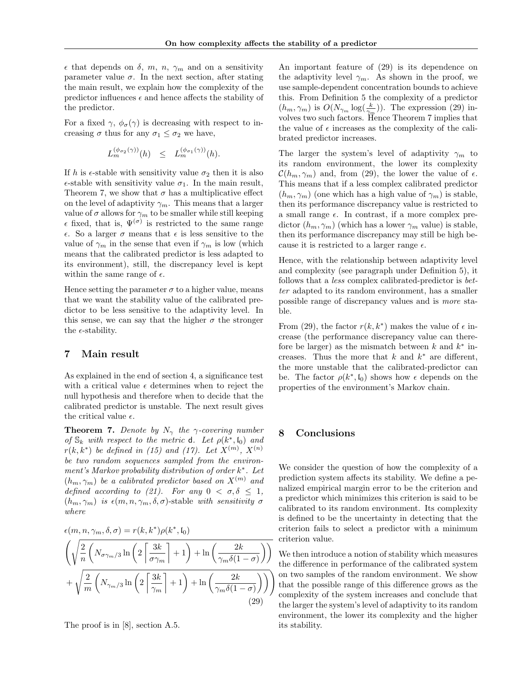$\epsilon$  that depends on  $\delta$ ,  $m$ ,  $n$ ,  $\gamma$  and on a sensitivity parameter value  $\sigma$ . In the next section, after stating the main result, we explain how the complexity of the predictor influences  $\epsilon$  and hence affects the stability of the predictor.

For a fixed  $\gamma$ ,  $\phi_{\sigma}(\gamma)$  is decreasing with respect to increasing  $\sigma$  thus for any  $\sigma_1 \leq \sigma_2$  we have,

$$
L_m^{(\phi_{\sigma_2}(\gamma))}(h) \leq L_m^{(\phi_{\sigma_1}(\gamma))}(h).
$$

If *h* is  $\epsilon$ -stable with sensitivity value  $\sigma_2$  then it is also  $\epsilon$ -stable with sensitivity value  $\sigma_1$ . In the main result, Theorem 7, we show that  $\sigma$  has a multiplicative effect on the level of adaptivity  $\gamma_m$ . This means that a larger value of  $\sigma$  allows for  $\gamma_m$  to be smaller while still keeping  $\epsilon$  fixed, that is,  $\Psi^{(\sigma)}$  is restricted to the same range  $\epsilon$ . So a larger  $\sigma$  means that  $\epsilon$  is less sensitive to the value of  $\gamma_m$  in the sense that even if  $\gamma_m$  is low (which means that the calibrated predictor is less adapted to its environment), still, the discrepancy level is kept within the same range of  $\epsilon$ .

Hence setting the parameter  $\sigma$  to a higher value, means that we want the stability value of the calibrated predictor to be less sensitive to the adaptivity level. In this sense, we can say that the higher  $\sigma$  the stronger the  $\epsilon$ -stability.

#### 7 Main result

As explained in the end of section 4, a significance test with a critical value  $\epsilon$  determines when to reject the null hypothesis and therefore when to decide that the calibrated predictor is unstable. The next result gives the critical value  $\epsilon$ .

**Theorem 7.** Denote by  $N_{\gamma}$  the  $\gamma$ -covering number *of*  $\mathbb{S}_k$  *with respect to the metric* **d***. Let*  $\rho(k^*, \mathfrak{l}_0)$  *and r*(*k, k*<sup>\*</sup>) *be defined in* (15) and (17). Let  $X^{(m)}$ ,  $X^{(n)}$ *be two random sequences sampled from the environment's Markov probability distribution of order k*⇤*. Let*  $(h_m, \gamma_m)$  *be a calibrated predictor based on*  $X^{(m)}$  *and defined according to (21). For any*  $0 < \sigma, \delta \leq 1$ ,  $(h_m, \gamma_m)$  *is*  $\epsilon(m, n, \gamma_m, \delta, \sigma)$ -stable *with sensitivity*  $\sigma$ *where*

$$
\epsilon(m, n, \gamma_m, \delta, \sigma) = r(k, k^*) \rho(k^*, \mathfrak{l}_0)
$$
  

$$
\left(\sqrt{\frac{2}{n} \left(N_{\sigma\gamma_m/3} \ln\left(2\left\lceil \frac{3k}{\sigma\gamma_m} \right\rceil + 1\right) + \ln\left(\frac{2k}{\gamma_m\delta(1-\sigma)}\right)\right)} + \sqrt{\frac{2}{m} \left(N_{\gamma_m/3} \ln\left(2\left\lceil \frac{3k}{\gamma_m} \right\rceil + 1\right) + \ln\left(\frac{2k}{\gamma_m\delta(1-\sigma)}\right)\right)}\right)
$$
  
(29)

The proof is in [8], section A.5.

An important feature of (29) is its dependence on the adaptivity level  $\gamma_m$ . As shown in the proof, we use sample-dependent concentration bounds to achieve this. From Definition 5 the complexity of a predictor  $(h_m, \gamma_m)$  is  $O(N_{\gamma_m} \log(\frac{k}{\gamma_m}))$ . The expression (29) involves two such factors. Hence Theorem 7 implies that the value of  $\epsilon$  increases as the complexity of the calibrated predictor increases.

The larger the system's level of adaptivity  $\gamma_m$  to its random environment, the lower its complexity  $\mathcal{C}(h_m, \gamma_m)$  and, from (29), the lower the value of  $\epsilon$ . This means that if a less complex calibrated predictor  $(h_m, \gamma_m)$  (one which has a high value of  $\gamma_m$ ) is stable, then its performance discrepancy value is restricted to a small range  $\epsilon$ . In contrast, if a more complex predictor  $(h_m, \gamma_m)$  (which has a lower  $\gamma_m$  value) is stable, then its performance discrepancy may still be high because it is restricted to a larger range  $\epsilon$ .

Hence, with the relationship between adaptivity level and complexity (see paragraph under Definition 5), it follows that a *less* complex calibrated-predictor is *better* adapted to its random environment, has a smaller possible range of discrepancy values and is *more* stable.

From (29), the factor  $r(k, k^*)$  makes the value of  $\epsilon$  increase (the performance discrepancy value can therefore be larger) as the mismatch between  $k$  and  $k^*$  increases. Thus the more that  $k$  and  $k^*$  are different, the more unstable that the calibrated-predictor can be. The factor  $\rho(k^*, \mathfrak{l}_0)$  shows how  $\epsilon$  depends on the properties of the environment's Markov chain.

## 8 Conclusions

We consider the question of how the complexity of a prediction system affects its stability. We define a penalized empirical margin error to be the criterion and a predictor which minimizes this criterion is said to be calibrated to its random environment. Its complexity is defined to be the uncertainty in detecting that the criterion fails to select a predictor with a minimum criterion value.

We then introduce a notion of stability which measures the difference in performance of the calibrated system on two samples of the random environment. We show that the possible range of this difference grows as the complexity of the system increases and conclude that the larger the system's level of adaptivity to its random environment, the lower its complexity and the higher its stability.